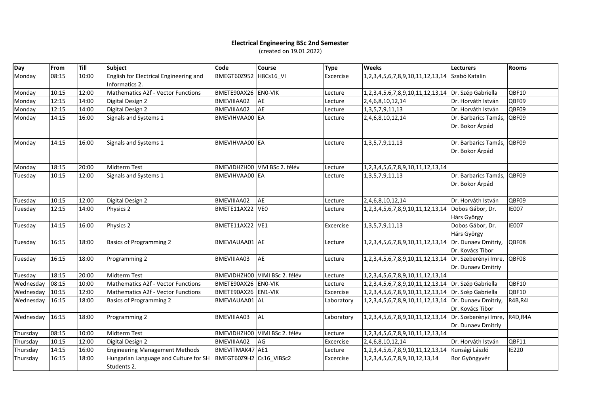## **Electrical Engineering BSc 2nd Semester** (created on 19.01.2022)

| Day       | From  | Till  | <b>Subject</b>                                           | Code                    | <b>Course</b>                 | <b>Type</b> | <b>Weeks</b>                                        | <b>Lecturers</b>                           | <b>Rooms</b> |
|-----------|-------|-------|----------------------------------------------------------|-------------------------|-------------------------------|-------------|-----------------------------------------------------|--------------------------------------------|--------------|
| Monday    | 08:15 | 10:00 | English for Electrical Engineering and<br>Informatics 2. | <b>BMEGT60Z952</b>      | H8Cs16 VI                     | Excercise   | 1, 2, 3, 4, 5, 6, 7, 8, 9, 10, 11, 12, 13, 14       | Szabó Katalin                              |              |
| Monday    | 10:15 | 12:00 | Mathematics A2f - Vector Functions                       | BMETE90AX26 EN0-VIK     |                               | Lecture     | 1,2,3,4,5,6,7,8,9,10,11,12,13,14 Dr. Szép Gabriella |                                            | QBF10        |
| Monday    | 12:15 | 14:00 | Digital Design 2                                         | BMEVIIIAA02             | AE                            | Lecture     | 2,4,6,8,10,12,14                                    | Dr. Horváth István                         | QBF09        |
| Monday    | 12:15 | 14:00 | Digital Design 2                                         | BMEVIIIAA02             | AE                            | Lecture     | 1, 3, 5, 7, 9, 11, 13                               | Dr. Horváth István                         | QBF09        |
| Monday    | 14:15 | 16:00 | Signals and Systems 1                                    | BMEVIHVAA00 EA          |                               | Lecture     | 2,4,6,8,10,12,14                                    | Dr. Barbarics Tamás,<br>Dr. Bokor Árpád    | QBF09        |
| Monday    | 14:15 | 16:00 | Signals and Systems 1                                    | BMEVIHVAA00 EA          |                               | Lecture     | 1, 3, 5, 7, 9, 11, 13                               | Dr. Barbarics Tamás,<br>Dr. Bokor Árpád    | QBF09        |
| Monday    | 18:15 | 20:00 | <b>Midterm Test</b>                                      | BMEVIDHZH00             | VIVI BSc 2. félév             | Lecture     | 1, 2, 3, 4, 5, 6, 7, 8, 9, 10, 11, 12, 13, 14       |                                            |              |
| Tuesday   | 10:15 | 12:00 | Signals and Systems 1                                    | BMEVIHVAA00 EA          |                               | Lecture     | 1, 3, 5, 7, 9, 11, 13                               | Dr. Barbarics Tamás,<br>Dr. Bokor Árpád    | QBF09        |
| Tuesday   | 10:15 | 12:00 | Digital Design 2                                         | BMEVIIIAA02             | AE                            | Lecture     | 2,4,6,8,10,12,14                                    | Dr. Horváth István                         | QBF09        |
| Tuesday   | 12:15 | 14:00 | Physics 2                                                | BMETE11AX22             | VE <sub>0</sub>               | Lecture     | 1,2,3,4,5,6,7,8,9,10,11,12,13,14                    | Dobos Gábor, Dr.<br>Hárs György            | <b>IE007</b> |
| Tuesday   | 14:15 | 16:00 | Physics 2                                                | BMETE11AX22 VE1         |                               | Excercise   | 1, 3, 5, 7, 9, 11, 13                               | Dobos Gábor, Dr.<br>Hárs György            | <b>IE007</b> |
| Tuesday   | 16:15 | 18:00 | <b>Basics of Programming 2</b>                           | BMEVIAUAA01 AE          |                               | Lecture     | 1,2,3,4,5,6,7,8,9,10,11,12,13,14                    | Dr. Dunaev Dmitriy,<br>Dr. Kovács Tibor    | QBF08        |
| Tuesday   | 16:15 | 18:00 | Programming 2                                            | BMEVIIIAA03             | AE                            | Lecture     | 1,2,3,4,5,6,7,8,9,10,11,12,13,14                    | Dr. Szeberényi Imre,<br>Dr. Dunaev Dmitriy | QBF08        |
| Tuesday   | 18:15 | 20:00 | <b>Midterm Test</b>                                      |                         | BMEVIDHZH00 VIMI BSc 2. félév | Lecture     | 1,2,3,4,5,6,7,8,9,10,11,12,13,14                    |                                            |              |
| Wednesday | 08:15 | 10:00 | <b>Mathematics A2f - Vector Functions</b>                | BMETE90AX26 EN0-VIK     |                               | Lecture     | 1,2,3,4,5,6,7,8,9,10,11,12,13,14 Dr. Szép Gabriella |                                            | QBF10        |
| Wednesday | 10:15 | 12:00 | Mathematics A2f - Vector Functions                       | BMETE90AX26 EN1-VIK     |                               | Excercise   | 1,2,3,4,5,6,7,8,9,10,11,12,13,14                    | Dr. Szép Gabriella                         | QBF10        |
| Wednesday | 16:15 | 18:00 | <b>Basics of Programming 2</b>                           | BMEVIAUAA01 AL          |                               | Laboratory  | 1,2,3,4,5,6,7,8,9,10,11,12,13,14                    | Dr. Dunaev Dmitriy,<br>Dr. Kovács Tibor    | R4B, R4I     |
| Wednesday | 16:15 | 18:00 | Programming 2                                            | BMEVIIIAA03             | <b>AL</b>                     | Laboratory  | 1, 2, 3, 4, 5, 6, 7, 8, 9, 10, 11, 12, 13, 14       | Dr. Szeberényi Imre,<br>Dr. Dunaev Dmitriy | R4D, R4A     |
| Thursday  | 08:15 | 10:00 | Midterm Test                                             |                         | BMEVIDHZH00 VIMI BSc 2. félév | Lecture     | 1,2,3,4,5,6,7,8,9,10,11,12,13,14                    |                                            |              |
| Thursday  | 10:15 | 12:00 | Digital Design 2                                         | BMEVIIIAA02             | AG                            | Excercise   | 2,4,6,8,10,12,14                                    | Dr. Horváth István                         | QBF11        |
| Thursday  | 14:15 | 16:00 | <b>Engineering Management Methods</b>                    | BMEVITMAK47 AE1         |                               | Lecture     | 1,2,3,4,5,6,7,8,9,10,11,12,13,14                    | Kunsági László                             | <b>IE220</b> |
| Thursday  | 16:15 | 18:00 | Hungarian Language and Culture for SH<br>Students 2.     | BMEGT60Z9H2 Cs16_VIBSc2 |                               | Excercise   | 1, 2, 3, 4, 5, 6, 7, 8, 9, 10, 12, 13, 14           | Bor Gyöngyvér                              |              |